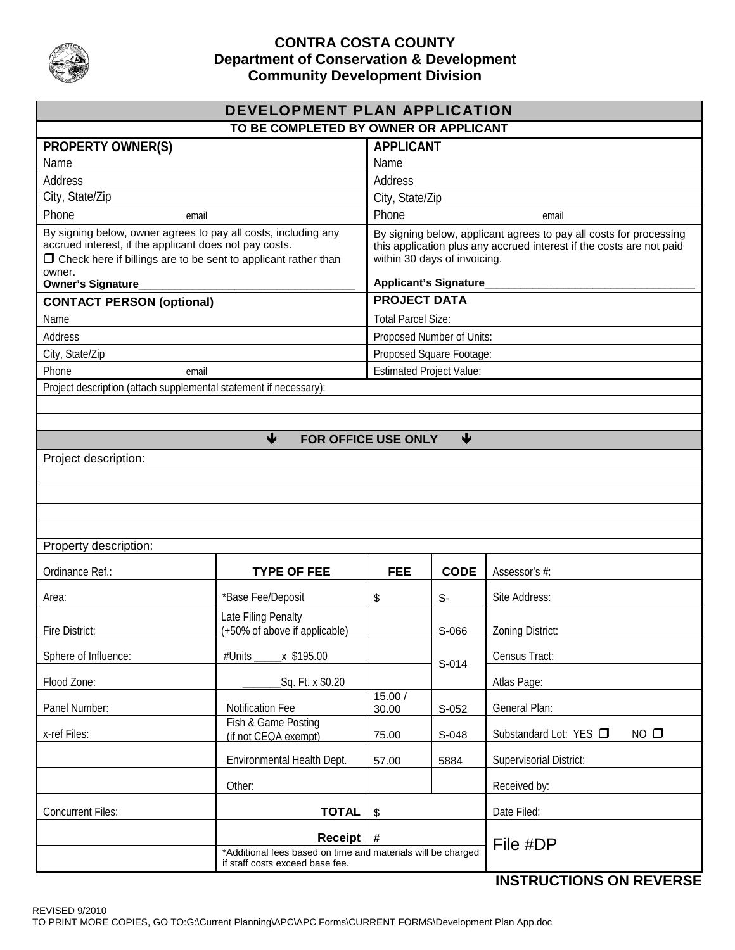

## **CONTRA COSTA COUNTY Department of Conservation & Development Community Development Division**

| DEVELOPMENT PLAN APPLICATION                                                                                                                                                                                                     |                                             |                                                                                                                                                                                                            |                 |                                          |  |
|----------------------------------------------------------------------------------------------------------------------------------------------------------------------------------------------------------------------------------|---------------------------------------------|------------------------------------------------------------------------------------------------------------------------------------------------------------------------------------------------------------|-----------------|------------------------------------------|--|
| TO BE COMPLETED BY OWNER OR APPLICANT                                                                                                                                                                                            |                                             |                                                                                                                                                                                                            |                 |                                          |  |
| <b>PROPERTY OWNER(S)</b>                                                                                                                                                                                                         |                                             | <b>APPLICANT</b>                                                                                                                                                                                           |                 |                                          |  |
| Name                                                                                                                                                                                                                             |                                             | Name                                                                                                                                                                                                       |                 |                                          |  |
| Address                                                                                                                                                                                                                          |                                             | Address                                                                                                                                                                                                    |                 |                                          |  |
| City, State/Zip                                                                                                                                                                                                                  |                                             | City, State/Zip                                                                                                                                                                                            |                 |                                          |  |
| Phone<br>email                                                                                                                                                                                                                   |                                             | Phone<br>email                                                                                                                                                                                             |                 |                                          |  |
| By signing below, owner agrees to pay all costs, including any<br>accrued interest, if the applicant does not pay costs.<br>$\Box$ Check here if billings are to be sent to applicant rather than<br>owner.<br>Owner's Signature |                                             | By signing below, applicant agrees to pay all costs for processing<br>this application plus any accrued interest if the costs are not paid<br>within 30 days of invoicing.<br><b>Applicant's Signature</b> |                 |                                          |  |
| <b>CONTACT PERSON (optional)</b>                                                                                                                                                                                                 |                                             | <b>PROJECT DATA</b>                                                                                                                                                                                        |                 |                                          |  |
| Name                                                                                                                                                                                                                             |                                             | <b>Total Parcel Size:</b>                                                                                                                                                                                  |                 |                                          |  |
| Address                                                                                                                                                                                                                          |                                             | Proposed Number of Units:                                                                                                                                                                                  |                 |                                          |  |
| City, State/Zip                                                                                                                                                                                                                  |                                             | Proposed Square Footage:                                                                                                                                                                                   |                 |                                          |  |
| Phone<br>email                                                                                                                                                                                                                   |                                             | <b>Estimated Project Value:</b>                                                                                                                                                                            |                 |                                          |  |
| Project description (attach supplemental statement if necessary):                                                                                                                                                                |                                             |                                                                                                                                                                                                            |                 |                                          |  |
|                                                                                                                                                                                                                                  |                                             |                                                                                                                                                                                                            |                 |                                          |  |
|                                                                                                                                                                                                                                  |                                             |                                                                                                                                                                                                            |                 |                                          |  |
|                                                                                                                                                                                                                                  | $\blacklozenge$<br>FOR OFFICE USE ONLY      |                                                                                                                                                                                                            | $\blacklozenge$ |                                          |  |
| Project description:                                                                                                                                                                                                             |                                             |                                                                                                                                                                                                            |                 |                                          |  |
|                                                                                                                                                                                                                                  |                                             |                                                                                                                                                                                                            |                 |                                          |  |
|                                                                                                                                                                                                                                  |                                             |                                                                                                                                                                                                            |                 |                                          |  |
|                                                                                                                                                                                                                                  |                                             |                                                                                                                                                                                                            |                 |                                          |  |
|                                                                                                                                                                                                                                  |                                             |                                                                                                                                                                                                            |                 |                                          |  |
| Property description:                                                                                                                                                                                                            |                                             |                                                                                                                                                                                                            |                 |                                          |  |
| Ordinance Ref.:                                                                                                                                                                                                                  | <b>TYPE OF FEE</b>                          | <b>FEE</b>                                                                                                                                                                                                 | <b>CODE</b>     | Assessor's #:                            |  |
| Area:                                                                                                                                                                                                                            | *Base Fee/Deposit                           | \$                                                                                                                                                                                                         | $S-$            | Site Address:                            |  |
|                                                                                                                                                                                                                                  | Late Filing Penalty                         |                                                                                                                                                                                                            |                 |                                          |  |
| Fire District:                                                                                                                                                                                                                   | (+50% of above if applicable)               |                                                                                                                                                                                                            | S-066           | Zoning District:                         |  |
| Sphere of Influence:                                                                                                                                                                                                             | #Units _____ x \$195.00                     |                                                                                                                                                                                                            |                 | Census Tract:                            |  |
|                                                                                                                                                                                                                                  |                                             |                                                                                                                                                                                                            | S-014           |                                          |  |
| Flood Zone:                                                                                                                                                                                                                      | Sq. Ft. x \$0.20                            | 15.00 /                                                                                                                                                                                                    |                 | Atlas Page:                              |  |
| Panel Number:                                                                                                                                                                                                                    | <b>Notification Fee</b>                     | 30.00                                                                                                                                                                                                      | S-052           | General Plan:                            |  |
| x-ref Files:                                                                                                                                                                                                                     | Fish & Game Posting<br>(if not CEQA exempt) | 75.00                                                                                                                                                                                                      | S-048           | $NO$ $\square$<br>Substandard Lot: YES □ |  |
|                                                                                                                                                                                                                                  | Environmental Health Dept.                  | 57.00                                                                                                                                                                                                      | 5884            | Supervisorial District:                  |  |
|                                                                                                                                                                                                                                  | Other:                                      |                                                                                                                                                                                                            |                 | Received by:                             |  |
| <b>Concurrent Files:</b>                                                                                                                                                                                                         | <b>TOTAL</b>                                | \$                                                                                                                                                                                                         |                 | Date Filed:                              |  |
|                                                                                                                                                                                                                                  | <b>Receipt</b>                              | $\#$                                                                                                                                                                                                       |                 |                                          |  |
|                                                                                                                                                                                                                                  | File #DP                                    |                                                                                                                                                                                                            |                 |                                          |  |
| if staff costs exceed base fee.<br><b>INICTOLICTIONIC ON DEVEDCE</b>                                                                                                                                                             |                                             |                                                                                                                                                                                                            |                 |                                          |  |

# **INSTRUCTIONS ON REVERSE**